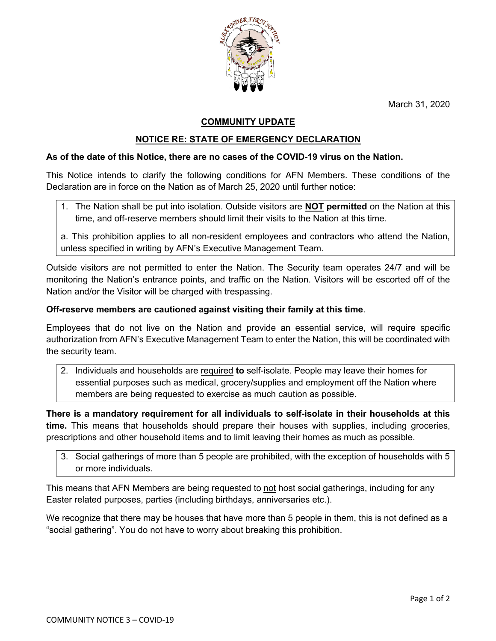March 31, 2020



# **COMMUNITY UPDATE**

## **NOTICE RE: STATE OF EMERGENCY DECLARATION**

#### **As of the date of this Notice, there are no cases of the COVID-19 virus on the Nation.**

This Notice intends to clarify the following conditions for AFN Members. These conditions of the Declaration are in force on the Nation as of March 25, 2020 until further notice:

1. The Nation shall be put into isolation. Outside visitors are **NOT permitted** on the Nation at this time, and off-reserve members should limit their visits to the Nation at this time.

a. This prohibition applies to all non-resident employees and contractors who attend the Nation, unless specified in writing by AFN's Executive Management Team.

Outside visitors are not permitted to enter the Nation. The Security team operates 24/7 and will be monitoring the Nation's entrance points, and traffic on the Nation. Visitors will be escorted off of the Nation and/or the Visitor will be charged with trespassing.

### **Off-reserve members are cautioned against visiting their family at this time**.

Employees that do not live on the Nation and provide an essential service, will require specific authorization from AFN's Executive Management Team to enter the Nation, this will be coordinated with the security team.

2. Individuals and households are required **to** self-isolate. People may leave their homes for essential purposes such as medical, grocery/supplies and employment off the Nation where members are being requested to exercise as much caution as possible.

**There is a mandatory requirement for all individuals to self-isolate in their households at this time.** This means that households should prepare their houses with supplies, including groceries, prescriptions and other household items and to limit leaving their homes as much as possible.

3. Social gatherings of more than 5 people are prohibited, with the exception of households with 5 or more individuals.

This means that AFN Members are being requested to not host social gatherings, including for any Easter related purposes, parties (including birthdays, anniversaries etc.).

We recognize that there may be houses that have more than 5 people in them, this is not defined as a "social gathering". You do not have to worry about breaking this prohibition.